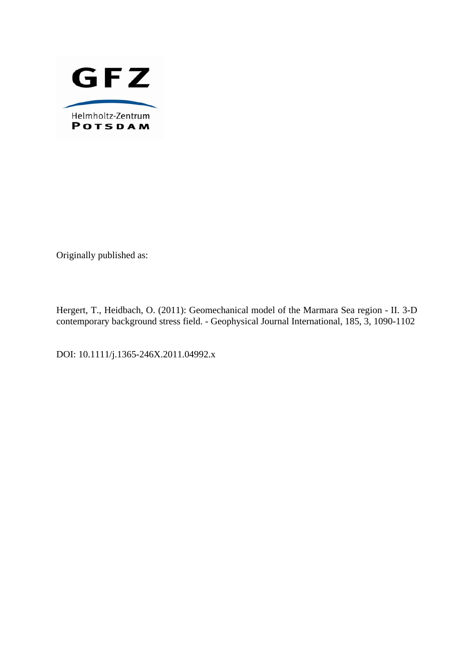

Originally published as:

Hergert, T., Heidbach, O. (2011): Geomechanical model of the Marmara Sea region - II. 3-D contemporary background stress field. - Geophysical Journal International, 185, 3, 1090-1102

DOI: 10.1111/j.1365-246X.2011.04992.x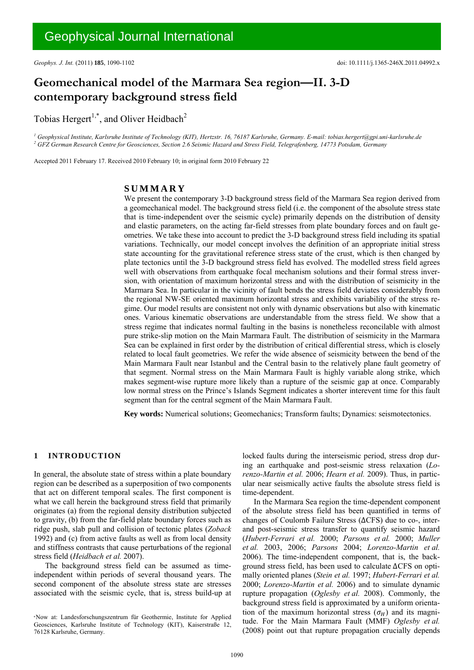# **Geomechanical model of the Marmara Sea region—II. 3-D contemporary background stress field**

Tobias Hergert<sup>1,\*</sup>, and Oliver Heidbach<sup>2</sup>

*1 Geophysical Institute, Karlsruhe Institute of Technology (KIT), Hertzstr. 16, 76187 Karlsruhe, Germany. E-mail: tobias.hergert@gpi.uni-karlsruhe.de 2 GFZ German Research Centre for Geosciences, Section 2.6 Seismic Hazard and Stress Field, Telegrafenberg, 14773 Potsdam, Germany* 

Accepted 2011 February 17. Received 2010 February 10; in original form 2010 February 22

## **SUMMARY**

We present the contemporary 3-D background stress field of the Marmara Sea region derived from a geomechanical model. The background stress field (i.e. the component of the absolute stress state that is time-independent over the seismic cycle) primarily depends on the distribution of density and elastic parameters, on the acting far-field stresses from plate boundary forces and on fault geometries. We take these into account to predict the 3-D background stress field including its spatial variations. Technically, our model concept involves the definition of an appropriate initial stress state accounting for the gravitational reference stress state of the crust, which is then changed by plate tectonics until the 3-D background stress field has evolved. The modelled stress field agrees well with observations from earthquake focal mechanism solutions and their formal stress inversion, with orientation of maximum horizontal stress and with the distribution of seismicity in the Marmara Sea. In particular in the vicinity of fault bends the stress field deviates considerably from the regional NW-SE oriented maximum horizontal stress and exhibits variability of the stress regime. Our model results are consistent not only with dynamic observations but also with kinematic ones. Various kinematic observations are understandable from the stress field. We show that a stress regime that indicates normal faulting in the basins is nonetheless reconcilable with almost pure strike-slip motion on the Main Marmara Fault. The distribution of seismicity in the Marmara Sea can be explained in first order by the distribution of critical differential stress, which is closely related to local fault geometries. We refer the wide absence of seismicity between the bend of the Main Marmara Fault near Istanbul and the Central basin to the relatively plane fault geometry of that segment. Normal stress on the Main Marmara Fault is highly variable along strike, which makes segment-wise rupture more likely than a rupture of the seismic gap at once. Comparably low normal stress on the Prince's Islands Segment indicates a shorter interevent time for this fault segment than for the central segment of the Main Marmara Fault.

**Key words:** Numerical solutions; Geomechanics; Transform faults; Dynamics: seismotectonics.

## **1 INTRODUCTION**

In general, the absolute state of stress within a plate boundary region can be described as a superposition of two components that act on different temporal scales. The first component is what we call herein the background stress field that primarily originates (a) from the regional density distribution subjected to gravity, (b) from the far-field plate boundary forces such as ridge push, slab pull and collision of tectonic plates (*Zoback* 1992) and (c) from active faults as well as from local density and stiffness contrasts that cause perturbations of the regional stress field (*Heidbach et al.* 2007).

The background stress field can be assumed as timeindependent within periods of several thousand years. The second component of the absolute stress state are stresses associated with the seismic cycle, that is, stress build-up at locked faults during the interseismic period, stress drop during an earthquake and post-seismic stress relaxation (*Lorenzo-Martin et al.* 2006; *Hearn et al.* 2009). Thus, in particular near seismically active faults the absolute stress field is time-dependent.

In the Marmara Sea region the time-dependent component of the absolute stress field has been quantified in terms of changes of Coulomb Failure Stress (∆CFS) due to co-, interand post-seismic stress transfer to quantify seismic hazard (*Hubert-Ferrari et al.* 2000; *Parsons et al.* 2000; *Muller et al.* 2003, 2006; *Parsons* 2004; *Lorenzo-Martin et al.*  2006). The time-independent component, that is, the background stress field, has been used to calculate ∆CFS on optimally oriented planes (*Stein et al.* 1997; *Hubert-Ferrari et al.* 2000; *Lorenzo-Martin et al.* 2006) and to simulate dynamic rupture propagation (*Oglesby et al.* 2008). Commonly, the background stress field is approximated by a uniform orientation of the maximum horizontal stress  $(\sigma_H)$  and its magnitude. For the Main Marmara Fault (MMF) *Oglesby et al.* (2008) point out that rupture propagation crucially depends

<sup>∗</sup>Now at: Landesforschungszentrum für Geothermie, Institute for Applied Geosciences, Karlsruhe Institute of Technology (KIT), Kaiserstraße 12, 76128 Karlsruhe, Germany.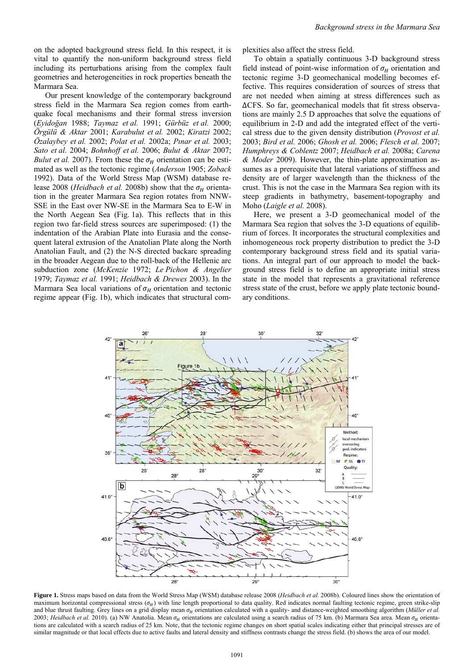on the adopted background stress field. In this respect, it is vital to quantify the non-uniform background stress field including its perturbations arising from the complex fault geometries and heterogeneities in rock properties beneath the Marmara Sea.

Our present knowledge of the contemporary background stress field in the Marmara Sea region comes from earthquake focal mechanisms and their formal stress inversion (*Eyidoğan* 1988; *Taymaz et al.* 1991; *Gürbüz et al.* 2000; *Örgülü & Aktar* 2001; *Karabulut et al.* 2002; *Kiratzi* 2002; *Özalaybey et al.* 2002; *Polat et al.* 2002a; *Pınar et al.* 2003; *Sato et al.* 2004; *Bohnhoff et al.* 2006; *Bulut & Aktar* 2007; *Bulut et al.* 2007). From these the  $\sigma_H$  orientation can be estimated as well as the tectonic regime (*Anderson* 1905; *Zoback* 1992). Data of the World Stress Map (WSM) database release 2008 (*Heidbach et al.* 2008b) show that the  $\sigma_H$  orientation in the greater Marmara Sea region rotates from NNW-SSE in the East over NW-SE in the Marmara Sea to E-W in the North Aegean Sea (Fig. 1a). This reflects that in this region two far-field stress sources are superimposed: (1) the indentation of the Arabian Plate into Eurasia and the consequent lateral extrusion of the Anatolian Plate along the North Anatolian Fault, and (2) the N-S directed backarc spreading in the broader Aegean due to the roll-back of the Hellenic arc subduction zone (*McKenzie* 1972; *Le Pichon & Angelier* 1979; *Taymaz et al.* 1991; *Heidbach & Drewes* 2003). In the Marmara Sea local variations of  $\sigma_H$  orientation and tectonic regime appear (Fig. 1b), which indicates that structural complexities also affect the stress field.

To obtain a spatially continuous 3-D background stress field instead of point-wise information of  $\sigma_H$  orientation and tectonic regime 3-D geomechanical modelling becomes effective. This requires consideration of sources of stress that are not needed when aiming at stress differences such as ∆CFS. So far, geomechanical models that fit stress observations are mainly 2.5 D approaches that solve the equations of equilibrium in 2-D and add the integrated effect of the vertical stress due to the given density distribution (*Provost et al.* 2003; *Bird et al.* 2006; *Ghosh et al.* 2006; *Flesch et al.* 2007; *Humphreys & Coblentz* 2007; *Heidbach et al.* 2008a; *Carena & Moder* 2009). However, the thin-plate approximation assumes as a prerequisite that lateral variations of stiffness and density are of larger wavelength than the thickness of the crust. This is not the case in the Marmara Sea region with its steep gradients in bathymetry, basement-topography and Moho (*Laigle et al.* 2008).

Here, we present a 3-D geomechanical model of the Marmara Sea region that solves the 3-D equations of equilibrium of forces. It incorporates the structural complexities and inhomogeneous rock property distribution to predict the 3-D contemporary background stress field and its spatial variations. An integral part of our approach to model the background stress field is to define an appropriate initial stress state in the model that represents a gravitational reference stress state of the crust, before we apply plate tectonic boundary conditions.



**Figure 1.** Stress maps based on data from the World Stress Map (WSM) database release 2008 (*Heidbach et al.* 2008b). Coloured lines show the orientation of maximum horizontal compressional stress  $(\sigma_H)$  with line length proportional to data quality. Red indicates normal faulting tectonic regime, green strike-slip and blue thrust faulting. Grey lines on a grid display mean  $\sigma_H$  orientation calculated with a quality- and distance-weighted smoothing algorithm (*Müller et al.* 2003; *Heidbach et al.* 2010). (a) NW Anatolia. Mean  $\sigma_H$  orientations are calculated using a search radius of 75 km. (b) Marmara Sea area. Mean  $\sigma_H$  orientations are calculated with a search radius of 25 km. Note, that the tectonic regime changes on short spatial scales indicating either that principal stresses are of similar magnitude or that local effects due to active faults and lateral density and stiffness contrasts change the stress field. (b) shows the area of our model.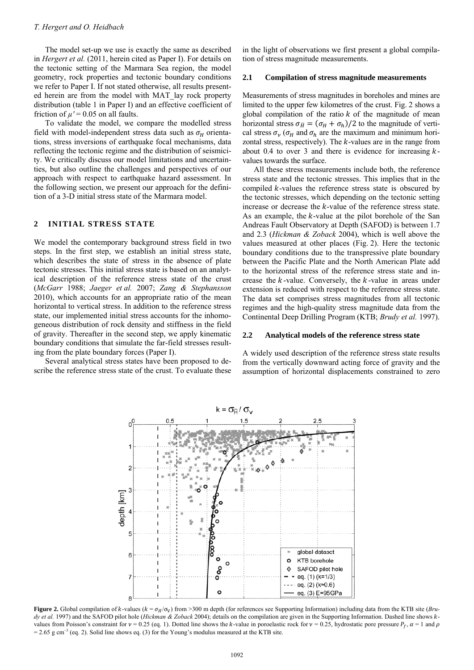The model set-up we use is exactly the same as described in *Hergert et al.* (2011, herein cited as Paper I). For details on the tectonic setting of the Marmara Sea region, the model geometry, rock properties and tectonic boundary conditions we refer to Paper I. If not stated otherwise, all results presented herein are from the model with MAT\_lay rock property distribution (table 1 in Paper I) and an effective coefficient of friction of  $\mu$ <sup> $\prime$ </sup> = 0.05 on all faults.

To validate the model, we compare the modelled stress field with model-independent stress data such as  $\sigma_H$  orientations, stress inversions of earthquake focal mechanisms, data reflecting the tectonic regime and the distribution of seismicity. We critically discuss our model limitations and uncertainties, but also outline the challenges and perspectives of our approach with respect to earthquake hazard assessment. In the following section, we present our approach for the definition of a 3-D initial stress state of the Marmara model.

## **2 INITIAL STRESS STATE**

We model the contemporary background stress field in two steps. In the first step, we establish an initial stress state, which describes the state of stress in the absence of plate tectonic stresses. This initial stress state is based on an analytical description of the reference stress state of the crust (*McGarr* 1988; *Jaeger et al.* 2007; *Zang & Stephansson* 2010), which accounts for an appropriate ratio of the mean horizontal to vertical stress. In addition to the reference stress state, our implemented initial stress accounts for the inhomogeneous distribution of rock density and stiffness in the field of gravity. Thereafter in the second step, we apply kinematic boundary conditions that simulate the far-field stresses resulting from the plate boundary forces (Paper I).

Several analytical stress states have been proposed to describe the reference stress state of the crust. To evaluate these

in the light of observations we first present a global compilation of stress magnitude measurements.

#### **2.1 Compilation of stress magnitude measurements**

Measurements of stress magnitudes in boreholes and mines are limited to the upper few kilometres of the crust. Fig. 2 shows a global compilation of the ratio  $k$  of the magnitude of mean horizontal stress  $\sigma_{\overline{H}} = (\sigma_H + \sigma_h)/2$  to the magnitude of vertical stress  $\sigma_{\nu}$  ( $\sigma_H$  and  $\sigma_h$  are the maximum and minimum horizontal stress, respectively). The  $k$ -values are in the range from about 0.4 to over 3 and there is evidence for increasing  $k$ values towards the surface.

All these stress measurements include both, the reference stress state and the tectonic stresses. This implies that in the compiled  $k$ -values the reference stress state is obscured by the tectonic stresses, which depending on the tectonic setting increase or decrease the *k*-value of the reference stress state. As an example, the  $k$ -value at the pilot borehole of the San Andreas Fault Observatory at Depth (SAFOD) is between 1.7 and 2.3 (*Hickman & Zoback* 2004), which is well above the values measured at other places (Fig. 2). Here the tectonic boundary conditions due to the transpressive plate boundary between the Pacific Plate and the North American Plate add to the horizontal stress of the reference stress state and increase the  $k$ -value. Conversely, the  $k$ -value in areas under extension is reduced with respect to the reference stress state. The data set comprises stress magnitudes from all tectonic regimes and the high-quality stress magnitude data from the Continental Deep Drilling Program (KTB; *Brudy et al.* 1997).

#### **2.2 Analytical models of the reference stress state**

A widely used description of the reference stress state results from the vertically downward acting force of gravity and the assumption of horizontal displacements constrained to zero



**Figure 2.** Global compilation of k-values ( $k = \sigma_H/\sigma_V$ ) from >300 m depth (for references see Supporting Information) including data from the KTB site (*Brudy et al.* 1997) and the SAFOD pilot hole (*Hickman & Zoback* 2004); details on the compilation are given in the Supporting Information. Dashed line shows *k*values from Poisson's constraint for  $v = 0.25$  (eq. 1). Dotted line shows the k-value in poroelastic rock for  $v = 0.25$ , hydrostatic pore pressure  $P_f$ ,  $\alpha = 1$  and  $\rho$  $= 2.65$  g cm<sup>-3</sup> (eq. 2). Solid line shows eq. (3) for the Young's modulus measured at the KTB site.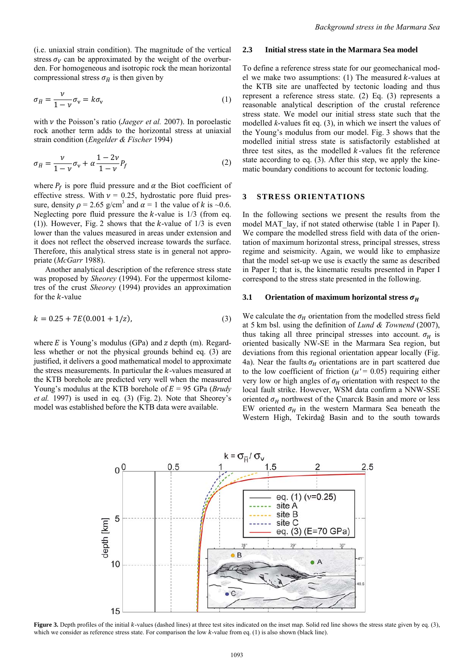(i.e. uniaxial strain condition). The magnitude of the vertical stress  $\sigma_V$  can be approximated by the weight of the overburden. For homogeneous and isotropic rock the mean horizontal compressional stress  $\sigma_H$  is then given by

$$
\sigma_{\overline{H}} = \frac{\nu}{1 - \nu} \sigma_{\rm v} = k \sigma_{\rm v} \tag{1}
$$

with  $\nu$  the Poisson's ratio (*Jaeger et al.* 2007). In poroelastic rock another term adds to the horizontal stress at uniaxial strain condition (*Engelder & Fischer* 1994)

$$
\sigma_{\overline{H}} = \frac{\nu}{1 - \nu} \sigma_v + \alpha \frac{1 - 2\nu}{1 - \nu} P_f \tag{2}
$$

where  $P_f$  is pore fluid pressure and  $\alpha$  the Biot coefficient of effective stress. With  $v = 0.25$ , hydrostatic pore fluid pressure, density  $\rho = 2.65$  g/cm<sup>3</sup> and  $\alpha = 1$  the value of k is ~0.6. Neglecting pore fluid pressure the  $k$ -value is  $1/3$  (from eq. (1)). However, Fig. 2 shows that the  $k$ -value of  $1/3$  is even lower than the values measured in areas under extension and it does not reflect the observed increase towards the surface. Therefore, this analytical stress state is in general not appropriate (*McGarr* 1988).

Another analytical description of the reference stress state was proposed by *Sheorey* (1994). For the uppermost kilometres of the crust *Sheorey* (1994) provides an approximation for the  $k$ -value

$$
k = 0.25 + 7E(0.001 + 1/z),
$$
\n(3)

where  $E$  is Young's modulus (GPa) and  $z$  depth (m). Regardless whether or not the physical grounds behind eq. (3) are justified, it delivers a good mathematical model to approximate the stress measurements. In particular the  $k$ -values measured at the KTB borehole are predicted very well when the measured Young's modulus at the KTB borehole of  $E = 95$  GPa (*Brudy et al.* 1997) is used in eq. (3) (Fig. 2). Note that Sheorey's model was established before the KTB data were available.

## **2.3 Initial stress state in the Marmara Sea model**

To define a reference stress state for our geomechanical model we make two assumptions:  $(1)$  The measured *k*-values at the KTB site are unaffected by tectonic loading and thus represent a reference stress state. (2) Eq. (3) represents a reasonable analytical description of the crustal reference stress state. We model our initial stress state such that the modelled *k*-values fit eq. (3), in which we insert the values of the Young's modulus from our model. Fig. 3 shows that the modelled initial stress state is satisfactorily established at three test sites, as the modelled  $k$ -values fit the reference state according to eq. (3). After this step, we apply the kinematic boundary conditions to account for tectonic loading.

## **3 STRESS ORIENTATIONS**

In the following sections we present the results from the model MAT lay, if not stated otherwise (table 1 in Paper I). We compare the modelled stress field with data of the orientation of maximum horizontal stress, principal stresses, stress regime and seismicity. Again, we would like to emphasize that the model set-up we use is exactly the same as described in Paper I; that is, the kinematic results presented in Paper I correspond to the stress state presented in the following.

#### **3.1 Orientation of maximum horizontal stress**  $\sigma_H$

We calculate the  $\sigma_H$  orientation from the modelled stress field at 5 km bsl. using the definition of *Lund & Townend* (2007), thus taking all three principal stresses into account.  $\sigma_H$  is oriented basically NW-SE in the Marmara Sea region, but deviations from this regional orientation appear locally (Fig. 4a). Near the faults  $\sigma_H$  orientations are in part scattered due to the low coefficient of friction ( $\mu$ <sup>*'*</sup> = 0.05) requiring either very low or high angles of  $\sigma_H$  orientation with respect to the local fault strike. However, WSM data confirm a NNW-SSE oriented  $\sigma_H$  northwest of the Cinarcik Basin and more or less EW oriented  $\sigma_H$  in the western Marmara Sea beneath the Western High, Tekirdağ Basin and to the south towards



**Figure 3.** Depth profiles of the initial k-values (dashed lines) at three test sites indicated on the inset map. Solid red line shows the stress state given by eq. (3), which we consider as reference stress state. For comparison the low  $k$ -value from eq. (1) is also shown (black line).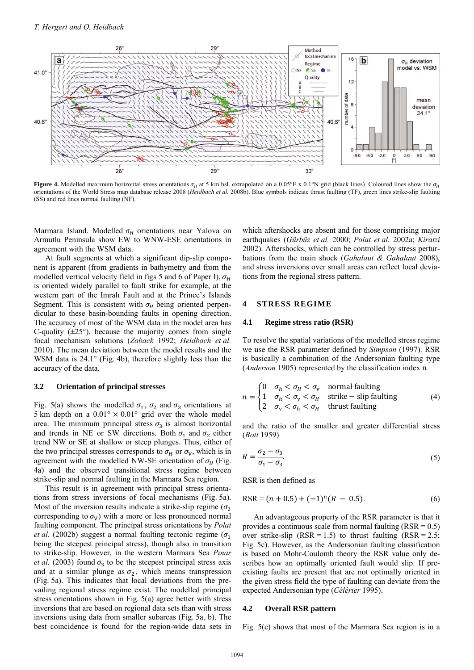

**Figure 4.** Modelled maximum horizontal stress orientations  $\sigma_H$  at 5 km bsl. extrapolated on a 0.05°E x 0.1°N grid (black lines). Coloured lines show the  $\sigma_H$ orientations of the World Stress map database release 2008 (*Heidbach et al.* 2008b). Blue symbols indicate thrust faulting (TF), green lines strike-slip faulting (SS) and red lines normal faulting (NF).

Marmara Island. Modelled  $\sigma_H$  orientations near Yalova on Armutlu Peninsula show EW to WNW-ESE orientations in agreement with the WSM data.

At fault segments at which a significant dip-slip component is apparent (from gradients in bathymetry and from the modelled vertical velocity field in figs 5 and 6 of Paper I),  $\sigma_{H}$ is oriented widely parallel to fault strike for example, at the western part of the Imralı Fault and at the Prince's Islands Segment. This is consistent with  $\sigma_H$  being oriented perpendicular to these basin-bounding faults in opening direction. The accuracy of most of the WSM data in the model area has C-quality  $(\pm 25^{\circ})$ , because the majority comes from single focal mechanism solutions (*Zoback* 1992; *Heidbach et al.* 2010). The mean deviation between the model results and the WSM data is 24.1° (Fig. 4b), therefore slightly less than the accuracy of the data.

#### **3.2 Orientation of principal stresses**

Fig. 5(a) shows the modelled  $\sigma_1$ ,  $\sigma_2$  and  $\sigma_3$  orientations at 5 km depth on a  $0.01^{\circ} \times 0.01^{\circ}$  grid over the whole model area. The minimum principal stress  $\sigma_3$  is almost horizontal and trends in NE or SW directions. Both  $\sigma_1$  and  $\sigma_2$  either trend NW or SE at shallow or steep plunges. Thus, either of the two principal stresses corresponds to  $\sigma_H$  or  $\sigma_V$ , which is in agreement with the modelled NW-SE orientation of  $\sigma_H$  (Fig. 4a) and the observed transitional stress regime between strike-slip and normal faulting in the Marmara Sea region.

This result is in agreement with principal stress orientations from stress inversions of focal mechanisms (Fig. 5a). Most of the inversion results indicate a strike-slip regime ( $\sigma_2$ ) corresponding to  $\sigma_V$ ) with a more or less pronounced normal faulting component. The principal stress orientations by *Polat et al.* (2002b) suggest a normal faulting tectonic regime ( $\sigma_1$ being the steepest principal stress), though also in transition to strike-slip. However, in the western Marmara Sea *Pınar et al.* (2003) found  $\sigma_3$  to be the steepest principal stress axis and at a similar plunge as  $\sigma_2$ , which means transpression (Fig. 5a). This indicates that local deviations from the prevailing regional stress regime exist. The modelled principal stress orientations shown in Fig. 5(a) agree better with stress inversions that are based on regional data sets than with stress inversions using data from smaller subareas (Fig. 5a, b). The best coincidence is found for the region-wide data sets in

which aftershocks are absent and for those comprising major earthquakes (*Gürbüz et al.* 2000; *Polat et al.* 2002a; *Kiratzi* 2002). Aftershocks, which can be controlled by stress perturbations from the main shock (*Gahalaut & Gahalaut* 2008), and stress inversions over small areas can reflect local deviations from the regional stress pattern.

#### **4 STRESS REGIME**

#### **4.1 Regime stress ratio (RSR)**

To resolve the spatial variations of the modelled stress regime we use the RSR parameter defined by *Simpson* (1997). RSR is basically a combination of the Andersonian faulting type (*Anderson* 1905) represented by the classification index  $n$ 

$$
n = \begin{cases} 0 & \sigma_h < \sigma_H < \sigma_v \\ 1 & \sigma_h < \sigma_v < \sigma_H \\ 2 & \sigma_v < \sigma_h < \sigma_H \end{cases} \quad \text{strike} - \text{slip faulting} \tag{4}
$$

and the ratio of the smaller and greater differential stress (*Bott* 1959)

$$
R = \frac{\sigma_2 - \sigma_3}{\sigma_1 - \sigma_3}.\tag{5}
$$

RSR is then defined as

$$
RSR = (n + 0.5) + (-1)^n (R - 0.5).
$$
 (6)

An advantageous property of the RSR parameter is that it provides a continuous scale from normal faulting  $(RSR = 0.5)$ over strike-slip (RSR = 1.5) to thrust faulting (RSR = 2.5; Fig. 5c). However, as the Andersonian faulting classification is based on Mohr-Coulomb theory the RSR value only describes how an optimally oriented fault would slip. If preexisting faults are present that are not optimally oriented in the given stress field the type of faulting can deviate from the expected Andersonian type (*Célérier* 1995).

#### **4.2 Overall RSR pattern**

Fig. 5(c) shows that most of the Marmara Sea region is in a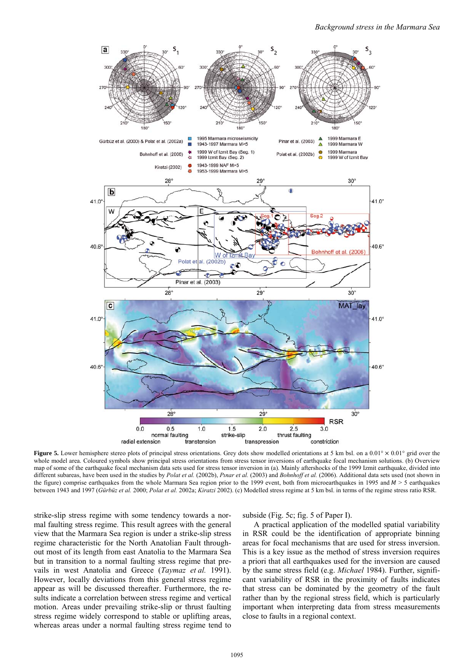

**Figure 5.** Lower hemisphere stereo plots of principal stress orientations. Grey dots show modelled orientations at 5 km bsl. on a  $0.01^{\circ} \times 0.01^{\circ}$  grid over the whole model area. Coloured symbols show principal stress orientations from stress tensor inversions of earthquake focal mechanism solutions. (b) Overview map of some of the earthquake focal mechanism data sets used for stress tensor inversion in (a). Mainly aftershocks of the 1999 Izmit earthquake, divided into different subareas, have been used in the studies by *Polat et al.* (2002b), *Pınar et al.* (2003) and *Bohnhoff et al.* (2006). Additional data sets used (not shown in the figure) comprise earthquakes from the whole Marmara Sea region prior to the 1999 event, both from microearthquakes in 1995 and  $M > 5$  earthquakes between 1943 and 1997 (*Gürbüz et al.* 2000; *Polat et al.* 2002a; *Kiratzi* 2002). (c) Modelled stress regime at 5 km bsl. in terms of the regime stress ratio RSR.

strike-slip stress regime with some tendency towards a normal faulting stress regime. This result agrees with the general view that the Marmara Sea region is under a strike-slip stress regime characteristic for the North Anatolian Fault throughout most of its length from east Anatolia to the Marmara Sea but in transition to a normal faulting stress regime that prevails in west Anatolia and Greece (*Taymaz et al.* 1991). However, locally deviations from this general stress regime appear as will be discussed thereafter. Furthermore, the results indicate a correlation between stress regime and vertical motion. Areas under prevailing strike-slip or thrust faulting stress regime widely correspond to stable or uplifting areas, whereas areas under a normal faulting stress regime tend to subside (Fig. 5c; fig. 5 of Paper I).

A practical application of the modelled spatial variability in RSR could be the identification of appropriate binning areas for focal mechanisms that are used for stress inversion. This is a key issue as the method of stress inversion requires a priori that all earthquakes used for the inversion are caused by the same stress field (e.g. *Michael* 1984). Further, significant variability of RSR in the proximity of faults indicates that stress can be dominated by the geometry of the fault rather than by the regional stress field, which is particularly important when interpreting data from stress measurements close to faults in a regional context.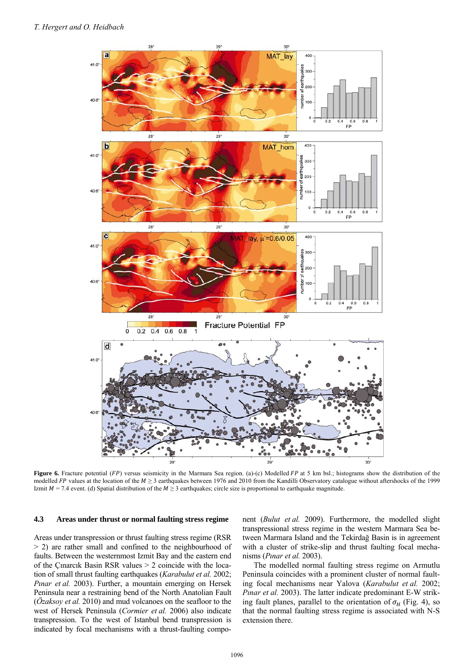

**Figure 6.** Fracture potential (FP) versus seismicity in the Marmara Sea region. (a)-(c) Modelled FP at 5 km bsl.; histograms show the distribution of the modelled  $FP$  values at the location of the  $M \geq 3$  earthquakes between 1976 and 2010 from the Kandilli Observatory catalogue without aftershocks of the 1999 Izmit  $M = 7.4$  event. (d) Spatial distribution of the  $M \ge 3$  earthquakes; circle size is proportional to earthquake magnitude.

#### **4.3 Areas under thrust or normal faulting stress regime**

Areas under transpression or thrust faulting stress regime (RSR > 2) are rather small and confined to the neighbourhood of faults. Between the westernmost Izmit Bay and the eastern end of the Çınarcık Basin RSR values > 2 coincide with the location of small thrust faulting earthquakes (*Karabulut et al.* 2002; *Pınar et al.* 2003). Further, a mountain emerging on Hersek Peninsula near a restraining bend of the North Anatolian Fault (*Özaksoy et al.* 2010) and mud volcanoes on the seafloor to the west of Hersek Peninsula (*Cormier et al.* 2006) also indicate transpression. To the west of Istanbul bend transpression is indicated by focal mechanisms with a thrust-faulting component (*Bulut et al.* 2009). Furthermore, the modelled slight transpressional stress regime in the western Marmara Sea between Marmara Island and the Tekirdağ Basin is in agreement with a cluster of strike-slip and thrust faulting focal mechanisms (*Pınar et al.* 2003).

The modelled normal faulting stress regime on Armutlu Peninsula coincides with a prominent cluster of normal faulting focal mechanisms near Yalova (*Karabulut et al.* 2002; *Pınar et al.* 2003). The latter indicate predominant E-W striking fault planes, parallel to the orientation of  $\sigma_H$  (Fig. 4), so that the normal faulting stress regime is associated with N-S extension there.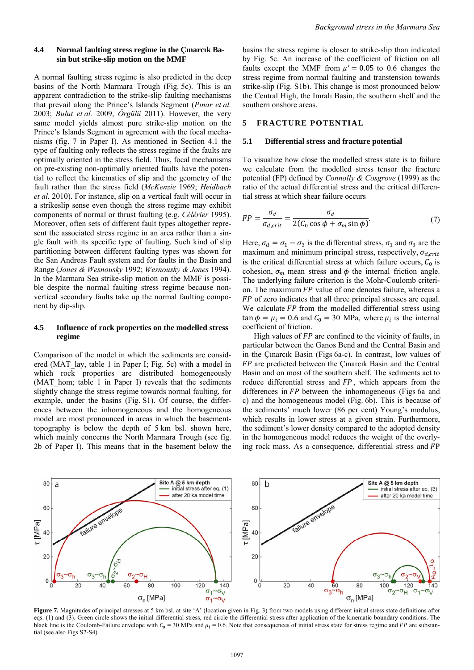## **4.4 Normal faulting stress regime in the Çınarcık Basin but strike-slip motion on the MMF**

A normal faulting stress regime is also predicted in the deep basins of the North Marmara Trough (Fig. 5c). This is an apparent contradiction to the strike-slip faulting mechanisms that prevail along the Prince's Islands Segment (*Pınar et al.* 2003; *Bulut et al.* 2009, *Örgülü* 2011). However, the very same model yields almost pure strike-slip motion on the Prince's Islands Segment in agreement with the focal mechanisms (fig. 7 in Paper I). As mentioned in Section 4.1 the type of faulting only reflects the stress regime if the faults are optimally oriented in the stress field. Thus, focal mechanisms on pre-existing non-optimally oriented faults have the potential to reflect the kinematics of slip and the geometry of the fault rather than the stress field (*McKenzie* 1969; *Heidbach et al.* 2010). For instance, slip on a vertical fault will occur in a strikeslip sense even though the stress regime may exhibit components of normal or thrust faulting (e.g. *Célérier* 1995). Moreover, often sets of different fault types altogether represent the associated stress regime in an area rather than a single fault with its specific type of faulting. Such kind of slip partitioning between different faulting types was shown for the San Andreas Fault system and for faults in the Basin and Range (*Jones & Wesnousky* 1992; *Wesnousky & Jones* 1994). In the Marmara Sea strike-slip motion on the MMF is possible despite the normal faulting stress regime because nonvertical secondary faults take up the normal faulting component by dip-slip.

## **4.5 Influence of rock properties on the modelled stress regime**

Comparison of the model in which the sediments are considered (MAT\_lay, table 1 in Paper I; Fig. 5c) with a model in which rock properties are distributed homogeneously (MAT hom; table 1 in Paper I) reveals that the sediments slightly change the stress regime towards normal faulting, for example, under the basins (Fig. S1). Of course, the differences between the inhomogeneous and the homogeneous model are most pronounced in areas in which the basementtopography is below the depth of 5 km bsl. shown here, which mainly concerns the North Marmara Trough (see fig. 2b of Paper I). This means that in the basement below the basins the stress regime is closer to strike-slip than indicated by Fig. 5c. An increase of the coefficient of friction on all faults except the MMF from  $\mu' = 0.05$  to 0.6 changes the stress regime from normal faulting and transtension towards strike-slip (Fig. S1b). This change is most pronounced below the Central High, the Imralı Basin, the southern shelf and the southern onshore areas.

#### **5 FRACTURE POTENTIAL**

#### **5.1 Differential stress and fracture potential**

To visualize how close the modelled stress state is to failure we calculate from the modelled stress tensor the fracture potential (FP) defined by *Connolly & Cosgrove* (1999) as the ratio of the actual differential stress and the critical differential stress at which shear failure occurs

$$
FP = \frac{\sigma_d}{\sigma_{d,crit}} = \frac{\sigma_d}{2(C_0 \cos \phi + \sigma_m \sin \phi)}.
$$
 (7)

Here,  $\sigma_d = \sigma_1 - \sigma_3$  is the differential stress,  $\sigma_1$  and  $\sigma_3$  are the maximum and minimum principal stress, respectively,  $\sigma_{d,crit}$ is the critical differential stress at which failure occurs,  $C_0$  is cohesion,  $\sigma_m$  mean stress and  $\phi$  the internal friction angle. The underlying failure criterion is the Mohr-Coulomb criterion. The maximum FP value of one denotes failure, whereas a FP of zero indicates that all three principal stresses are equal. We calculate  $FP$  from the modelled differential stress using  $tan \phi = \mu_i = 0.6$  and  $C_0 = 30$  MPa, where  $\mu_i$  is the internal coefficient of friction.

High values of  $FP$  are confined to the vicinity of faults, in particular between the Ganos Bend and the Central Basin and in the Çınarcık Basin (Figs 6a-c). In contrast, low values of FP are predicted between the Cinarcik Basin and the Central Basin and on most of the southern shelf. The sediments act to reduce differential stress and  $FP$ , which appears from the differences in  $FP$  between the inhomogeneous (Figs 6a and c) and the homogeneous model (Fig. 6b). This is because of the sediments' much lower (86 per cent) Young's modulus, which results in lower stress at a given strain. Furthermore, the sediment's lower density compared to the adopted density in the homogeneous model reduces the weight of the overlying rock mass. As a consequence, differential stress and  $FP$ 



Figure 7. Magnitudes of principal stresses at 5 km bsl. at site 'A' (location given in Fig. 3) from two models using different initial stress state definitions after eqs. (1) and (3). Green circle shows the initial differential stress, red circle the differential stress after application of the kinematic boundary conditions. The black line is the Coulomb-Failure envelope with  $C_0 = 30$  MPa and  $\mu_i = 0.6$ . Note that consequences of initial stress state for stress regime and  $FP$  are substantial (see also Figs S2-S4).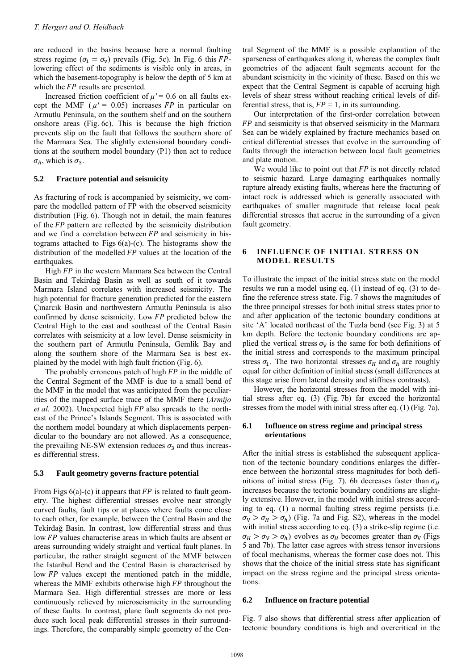are reduced in the basins because here a normal faulting stress regime ( $\sigma_1 = \sigma_v$ ) prevails (Fig. 5c). In Fig. 6 this FPlowering effect of the sediments is visible only in areas, in which the basement-topography is below the depth of 5 km at which the  $FP$  results are presented.

Increased friction coefficient of  $\mu$ <sup>*'*</sup> = 0.6 on all faults except the MMF ( $\mu$ <sup>'</sup> = 0.05) increases *FP* in particular on Armutlu Peninsula, on the southern shelf and on the southern onshore areas (Fig. 6c). This is because the high friction prevents slip on the fault that follows the southern shore of the Marmara Sea. The slightly extensional boundary conditions at the southern model boundary (P1) then act to reduce  $\sigma_h$ , which is  $\sigma_3$ .

### **5.2 Fracture potential and seismicity**

As fracturing of rock is accompanied by seismicity, we compare the modelled pattern of FP with the observed seismicity distribution (Fig. 6). Though not in detail, the main features of the FP pattern are reflected by the seismicity distribution and we find a correlation between  $FP$  and seismicity in histograms attached to Figs  $6(a)-(c)$ . The histograms show the distribution of the modelled FP values at the location of the earthquakes.

High  $FP$  in the western Marmara Sea between the Central Basin and Tekirdağ Basin as well as south of it towards Marmara Island correlates with increased seismicity. The high potential for fracture generation predicted for the eastern Çınarcık Basin and northwestern Armutlu Peninsula is also confirmed by dense seismicity. Low FP predicted below the Central High to the east and southeast of the Central Basin correlates with seismicity at a low level. Dense seismicity in the southern part of Armutlu Peninsula, Gemlik Bay and along the southern shore of the Marmara Sea is best explained by the model with high fault friction (Fig. 6).

The probably erroneous patch of high  $FP$  in the middle of the Central Segment of the MMF is due to a small bend of the MMF in the model that was anticipated from the peculiarities of the mapped surface trace of the MMF there (*Armijo et al.* 2002). Unexpected high FP also spreads to the northeast of the Prince's Islands Segment. This is associated with the northern model boundary at which displacements perpendicular to the boundary are not allowed. As a consequence, the prevailing NE-SW extension reduces  $\sigma_3$  and thus increases differential stress.

### **5.3 Fault geometry governs fracture potential**

From Figs  $6(a)-(c)$  it appears that  $FP$  is related to fault geometry. The highest differential stresses evolve near strongly curved faults, fault tips or at places where faults come close to each other, for example, between the Central Basin and the Tekirdağ Basin. In contrast, low differential stress and thus low FP values characterise areas in which faults are absent or areas surrounding widely straight and vertical fault planes. In particular, the rather straight segment of the MMF between the Istanbul Bend and the Central Basin is characterised by low FP values except the mentioned patch in the middle, whereas the MMF exhibits otherwise high  $FP$  throughout the Marmara Sea. High differential stresses are more or less continuously relieved by microseismicity in the surrounding of these faults. In contrast, plane fault segments do not produce such local peak differential stresses in their surroundings. Therefore, the comparably simple geometry of the Central Segment of the MMF is a possible explanation of the sparseness of earthquakes along it, whereas the complex fault geometries of the adjacent fault segments account for the abundant seismicity in the vicinity of these. Based on this we expect that the Central Segment is capable of accruing high levels of shear stress without reaching critical levels of differential stress, that is,  $FP = 1$ , in its surrounding.

Our interpretation of the first-order correlation between FP and seismicity is that observed seismicity in the Marmara Sea can be widely explained by fracture mechanics based on critical differential stresses that evolve in the surrounding of faults through the interaction between local fault geometries and plate motion.

We would like to point out that  $FP$  is not directly related to seismic hazard. Large damaging earthquakes normally rupture already existing faults, whereas here the fracturing of intact rock is addressed which is generally associated with earthquakes of smaller magnitude that release local peak differential stresses that accrue in the surrounding of a given fault geometry.

## **6 INFLUENCE OF INITIAL STRESS ON MODEL RESULTS**

To illustrate the impact of the initial stress state on the model results we run a model using eq. (1) instead of eq. (3) to define the reference stress state. Fig. 7 shows the magnitudes of the three principal stresses for both initial stress states prior to and after application of the tectonic boundary conditions at site 'A' located northeast of the Tuzla bend (see Fig. 3) at 5 km depth. Before the tectonic boundary conditions are applied the vertical stress  $\sigma_V$  is the same for both definitions of the initial stress and corresponds to the maximum principal stress  $\sigma_1$ . The two horizontal stresses  $\sigma_H$  and  $\sigma_h$  are roughly equal for either definition of initial stress (small differences at this stage arise from lateral density and stiffness contrasts).

However, the horizontal stresses from the model with initial stress after eq. (3) (Fig. 7b) far exceed the horizontal stresses from the model with initial stress after eq. (1) (Fig. 7a).

## **6.1 Influence on stress regime and principal stress orientations**

After the initial stress is established the subsequent application of the tectonic boundary conditions enlarges the difference between the horizontal stress magnitudes for both definitions of initial stress (Fig. 7). 6h decreases faster than  $\sigma_H$ increases because the tectonic boundary conditions are slightly extensive. However, in the model with initial stress according to eq. (1) a normal faulting stress regime persists (i.e.  $\sigma_{\rm V} > \sigma_{\rm H} > \sigma_{\rm h}$ ) (Fig. 7a and Fig. S2), whereas in the model with initial stress according to eq. (3) a strike-slip regime (i.e.  $\sigma_H > \sigma_V > \sigma_h$ ) evolves as  $\sigma_H$  becomes greater than  $\sigma_V$  (Figs 5 and 7b). The latter case agrees with stress tensor inversions of focal mechanisms, whereas the former case does not. This shows that the choice of the initial stress state has significant impact on the stress regime and the principal stress orientations.

### **6.2 Influence on fracture potential**

Fig. 7 also shows that differential stress after application of tectonic boundary conditions is high and overcritical in the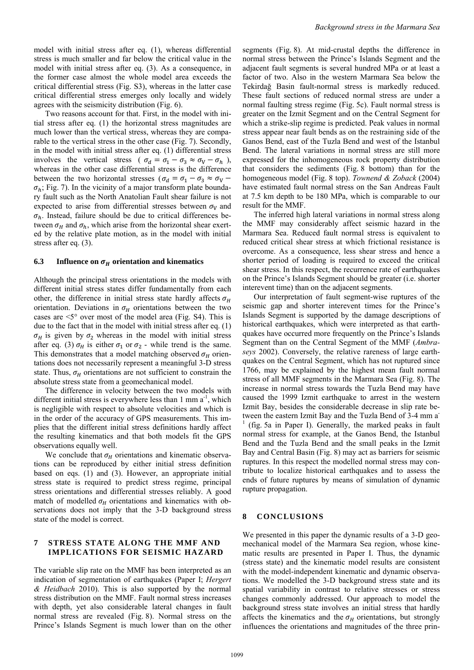model with initial stress after eq. (1), whereas differential stress is much smaller and far below the critical value in the model with initial stress after eq. (3). As a consequence, in the former case almost the whole model area exceeds the critical differential stress (Fig. S3), whereas in the latter case critical differential stress emerges only locally and widely agrees with the seismicity distribution (Fig. 6).

Two reasons account for that. First, in the model with initial stress after eq. (1) the horizontal stress magnitudes are much lower than the vertical stress, whereas they are comparable to the vertical stress in the other case (Fig. 7). Secondly, in the model with initial stress after eq. (1) differential stress involves the vertical stress (  $\sigma_d = \sigma_1 - \sigma_3 \approx \sigma_{\rm V} - \sigma_{\rm h}$ ), whereas in the other case differential stress is the difference between the two horizontal stresses ( $\sigma_d = \sigma_1 - \sigma_3 \approx \sigma_V$  $\sigma_h$ ; Fig. 7). In the vicinity of a major transform plate boundary fault such as the North Anatolian Fault shear failure is not expected to arise from differential stresses between  $\sigma_V$  and  $\sigma_h$ . Instead, failure should be due to critical differences between  $\sigma_H$  and  $\sigma_h$ , which arise from the horizontal shear exerted by the relative plate motion, as in the model with initial stress after eq. (3).

# **6.3 Influence on**  $\sigma_H$  **orientation and kinematics**

Although the principal stress orientations in the models with different initial stress states differ fundamentally from each other, the difference in initial stress state hardly affects  $\sigma_H$ orientation. Deviations in  $\sigma_H$  orientations between the two cases are  $\leq$ <sup>5°</sup> over most of the model area (Fig. S4). This is due to the fact that in the model with initial stress after eq. (1)  $\sigma_H$  is given by  $\sigma_2$  whereas in the model with initial stress after eq. (3)  $\sigma_H$  is either  $\sigma_1$  or  $\sigma_2$  - while trend is the same. This demonstrates that a model matching observed  $\sigma_H$  orientations does not necessarily represent a meaningful 3-D stress state. Thus,  $\sigma_{\rm H}$  orientations are not sufficient to constrain the absolute stress state from a geomechanical model.

The difference in velocity between the two models with different initial stress is everywhere less than  $1 \text{ mm } a^{-1}$ , which is negligible with respect to absolute velocities and which is in the order of the accuracy of GPS measurements. This implies that the different initial stress definitions hardly affect the resulting kinematics and that both models fit the GPS observations equally well.

We conclude that  $\sigma_H$  orientations and kinematic observations can be reproduced by either initial stress definition based on eqs. (1) and (3). However, an appropriate initial stress state is required to predict stress regime, principal stress orientations and differential stresses reliably. A good match of modelled  $\sigma_H$  orientations and kinematics with observations does not imply that the 3-D background stress state of the model is correct.

## **7 STRESS STATE ALONG THE MMF AND IMPLICATIONS FOR SEISMIC HAZARD**

The variable slip rate on the MMF has been interpreted as an indication of segmentation of earthquakes (Paper I; *Hergert & Heidbach* 2010). This is also supported by the normal stress distribution on the MMF. Fault normal stress increases with depth, yet also considerable lateral changes in fault normal stress are revealed (Fig. 8). Normal stress on the Prince's Islands Segment is much lower than on the other segments (Fig. 8). At mid-crustal depths the difference in normal stress between the Prince's Islands Segment and the adjacent fault segments is several hundred MPa or at least a factor of two. Also in the western Marmara Sea below the Tekirdağ Basin fault-normal stress is markedly reduced. These fault sections of reduced normal stress are under a normal faulting stress regime (Fig. 5c). Fault normal stress is greater on the Izmit Segment and on the Central Segment for which a strike-slip regime is predicted. Peak values in normal stress appear near fault bends as on the restraining side of the Ganos Bend, east of the Tuzla Bend and west of the Istanbul Bend. The lateral variations in normal stress are still more expressed for the inhomogeneous rock property distribution that considers the sediments (Fig. 8 bottom) than for the homogeneous model (Fig. 8 top). *Townend & Zoback* (2004) have estimated fault normal stress on the San Andreas Fault at 7.5 km depth to be 180 MPa, which is comparable to our result for the MMF.

The inferred high lateral variations in normal stress along the MMF may considerably affect seismic hazard in the Marmara Sea. Reduced fault normal stress is equivalent to reduced critical shear stress at which frictional resistance is overcome. As a consequence, less shear stress and hence a shorter period of loading is required to exceed the critical shear stress. In this respect, the recurrence rate of earthquakes on the Prince's Islands Segment should be greater (i.e. shorter interevent time) than on the adjacent segments.

Our interpretation of fault segment-wise ruptures of the seismic gap and shorter interevent times for the Prince's Islands Segment is supported by the damage descriptions of historical earthquakes, which were interpreted as that earthquakes have occurred more frequently on the Prince's Islands Segment than on the Central Segment of the MMF (*Ambraseys* 2002). Conversely, the relative rareness of large earthquakes on the Central Segment, which has not ruptured since 1766, may be explained by the highest mean fault normal stress of all MMF segments in the Marmara Sea (Fig. 8). The increase in normal stress towards the Tuzla Bend may have caused the 1999 Izmit earthquake to arrest in the western Izmit Bay, besides the considerable decrease in slip rate between the eastern Izmit Bay and the Tuzla Bend of 3-4 mm a<sup>-</sup> 1 (fig. 5a in Paper I). Generally, the marked peaks in fault normal stress for example, at the Ganos Bend, the Istanbul Bend and the Tuzla Bend and the small peaks in the Izmit Bay and Central Basin (Fig. 8) may act as barriers for seismic ruptures. In this respect the modelled normal stress may contribute to localize historical earthquakes and to assess the ends of future ruptures by means of simulation of dynamic rupture propagation.

#### **8 CONCLUSIONS**

We presented in this paper the dynamic results of a 3-D geomechanical model of the Marmara Sea region, whose kinematic results are presented in Paper I. Thus, the dynamic (stress state) and the kinematic model results are consistent with the model-independent kinematic and dynamic observations. We modelled the 3-D background stress state and its spatial variability in contrast to relative stresses or stress changes commonly addressed. Our approach to model the background stress state involves an initial stress that hardly affects the kinematics and the  $\sigma_H$  orientations, but strongly influences the orientations and magnitudes of the three prin-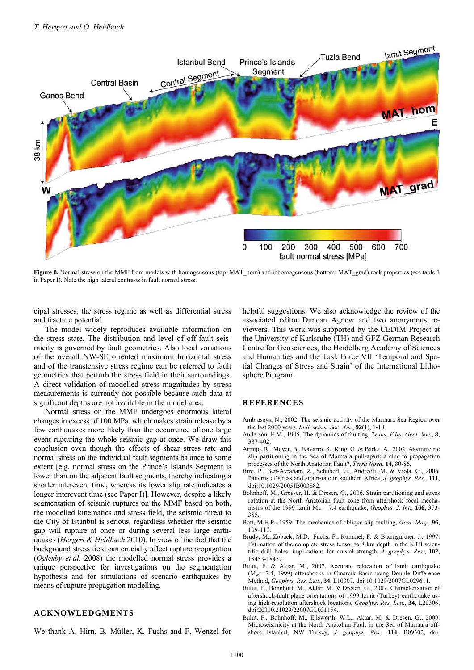

**Figure 8.** Normal stress on the MMF from models with homogeneous (top; MAT\_hom) and inhomogeneous (bottom; MAT\_grad) rock properties (see table 1 in Paper I). Note the high lateral contrasts in fault normal stress.

cipal stresses, the stress regime as well as differential stress and fracture potential.

The model widely reproduces available information on the stress state. The distribution and level of off-fault seismicity is governed by fault geometries. Also local variations of the overall NW-SE oriented maximum horizontal stress and of the transtensive stress regime can be referred to fault geometries that perturb the stress field in their surroundings. A direct validation of modelled stress magnitudes by stress measurements is currently not possible because such data at significant depths are not available in the model area.

Normal stress on the MMF undergoes enormous lateral changes in excess of 100 MPa, which makes strain release by a few earthquakes more likely than the occurrence of one large event rupturing the whole seismic gap at once. We draw this conclusion even though the effects of shear stress rate and normal stress on the individual fault segments balance to some extent [e.g. normal stress on the Prince's Islands Segment is lower than on the adjacent fault segments, thereby indicating a shorter interevent time, whereas its lower slip rate indicates a longer interevent time (see Paper I)]. However, despite a likely segmentation of seismic ruptures on the MMF based on both, the modelled kinematics and stress field, the seismic threat to the City of Istanbul is serious, regardless whether the seismic gap will rupture at once or during several less large earthquakes (*Hergert & Heidbach* 2010). In view of the fact that the background stress field can crucially affect rupture propagation (*Oglesby et al.* 2008) the modelled normal stress provides a unique perspective for investigations on the segmentation hypothesis and for simulations of scenario earthquakes by means of rupture propagation modelling.

# **ACKNOWLEDGMENTS**

We thank A. Hirn, B. Müller, K. Fuchs and F. Wenzel for

helpful suggestions. We also acknowledge the review of the associated editor Duncan Agnew and two anonymous reviewers. This work was supported by the CEDIM Project at the University of Karlsruhe (TH) and GFZ German Research Centre for Geosciences, the Heidelberg Academy of Sciences and Humanities and the Task Force VII 'Temporal and Spatial Changes of Stress and Strain' of the International Lithosphere Program.

#### **REFERENCES**

- Ambraseys, N., 2002. The seismic activity of the Marmara Sea Region over the last 2000 years, *Bull. seism. Soc. Am.*, **92**(1), 1-18.
- Anderson, E.M., 1905. The dynamics of faulting, *Trans. Edin. Geol. Soc.*, **8**, 387-402.
- Armijo, R., Meyer, B., Navarro, S., King, G. & Barka, A., 2002. Asymmetric slip partitioning in the Sea of Marmara pull-apart: a clue to propagation processes of the North Anatolian Fault?, *Terra Nova*, **14**, 80-86.
- Bird, P., Ben-Avraham, Z., Schubert, G., Andreoli, M. & Viola, G., 2006. Patterns of stress and strain-rate in southern Africa, *J. geophys. Res.*, **111**, doi:10.1029/2005JB003882.
- Bohnhoff, M., Grosser, H. & Dresen, G., 2006. Strain partitioning and stress rotation at the North Anatolian fault zone from aftershock focal mechanisms of the 1999 Izmit  $M_w = 7.4$  earthquake, *Geophys. J. Int.*, **166**, 373-385.
- Bott, M.H.P., 1959. The mechanics of oblique slip faulting, *Geol. Mag.*, **96**, 109-117.
- Brudy, M., Zoback, M.D., Fuchs, F., Rummel, F. & Baumgärtner, J., 1997. Estimation of the complete stress tensor to 8 km depth in the KTB scientific drill holes: implications for crustal strength, *J. geophys. Res.*, **102**, 18453-18457.
- Bulut, F. & Aktar, M., 2007. Accurate relocation of Izmit earthquake  $(M_w = 7.4, 1999)$  aftershocks in Çınarcık Basin using Double Difference Method, *Geophys. Res. Lett.*, **34**, L10307, doi:10.1029/2007GL029611.
- Bulut, F., Bohnhoff, M., Aktar, M. & Dresen, G., 2007. Characterization of aftershock-fault plane orientations of 1999 Izmit (Turkey) earthquake using high-resolution aftershock locations, *Geophys. Res. Lett.*, **34**, L20306, doi:20310.21029/22007GL031154.
- Bulut, F., Bohnhoff, M., Ellsworth, W.L., Aktar, M. & Dresen, G., 2009. Microseismicity at the North Anatolian Fault in the Sea of Marmara offshore Istanbul, NW Turkey, *J. geophys. Res.*, **114**, B09302, doi: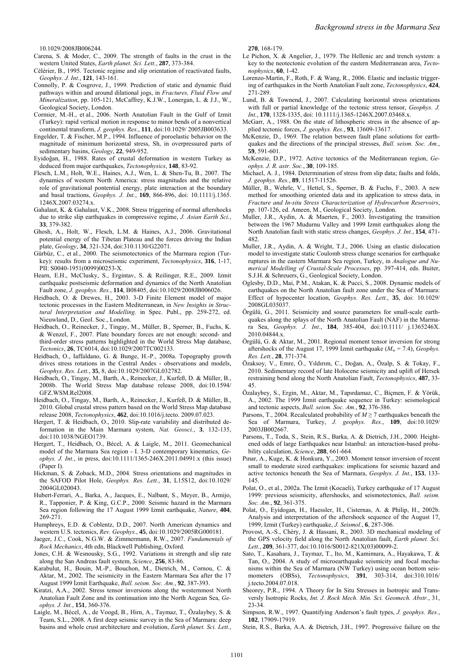10.1029/2008JB006244.

- Carena, S. & Moder, C., 2009. The strength of faults in the crust in the western United States, *Earth planet. Sci. Lett.*, **287**, 373-384.
- Célérier, B., 1995. Tectonic regime and slip orientation of reactivated faults, *Geophys. J. Int.*, **121**, 143-161.
- Connolly, P. & Cosgrove, J., 1999. Prediction of static and dynamic fluid pathways within and around dilational jogs, in *Fractures, Fluid Flow and Mineralization*, pp. 105-121, McCaffrey, K.J.W., Lonergan, L. & J.J., W., Geological Society, London.
- Cormier, M.-H., et al., 2006. North Anatolian Fault in the Gulf of Izmit (Turkey): rapid vertical motion in response to minor bends of a nonvertical continental transform, *J. geophys. Res.*, **111**, doi:10.1029/ 2005JB003633.
- Engelder, T. & Fischer, M.P., 1994. Influence of poroelastic behavior on the magnitude of minimum horizontal stress, Sh, in overpressured parts of sedimentary basins, *Geology*, **22**, 949-952.
- Eyidoğan, H., 1988. Rates of crustal deformation in western Turkey as deduced from major earthquakes, *Tectonophysics*, **148**, 83-92.
- Flesch, L.M., Holt, W.E., Haines, A.J., Wen, L. & Shen-Tu, B., 2007. The dynamics of western North America: stress magnitudes and the relative role of gravitational pontential energy, plate interaction at the boundary and basal tractions, *Geophys. J. Int.*, **169**, 866-896, doi: 10.1111/j.1365. 1246X.2007.03274.x.
- Gahalaut, K. & Gahalaut, V.K., 2008. Stress triggering of normal aftershocks due to strike slip earthquakes in compressive regime, *J. Asian Earth Sci.*, **33**, 379-382.
- Ghosh, A., Holt, W., Flesch, L.M. & Haines, A.J., 2006. Gravitational potential energy of the Tibetan Plateau and the forces driving the Indian plate, *Geology*, **34**, 321-324, doi:310.1130/G22071.
- Gürbüz, C., et al., 2000. The seismotectonics of the Marmara region (Turkey): results from a microseismic experiment, *Tectonophysics*, **316**, 1-17, PII: S0040-1951(0099)00253-X.
- Hearn, E.H., McClusky, S., Ergintav, S. & Reilinger, R.E., 2009. Izmit earthquake postseismic deformation and dynamics of the North Anatolian Fault zone, *J. geophys. Res.*, **114**, B08405, doi:10.1029/2008JB006026.
- Heidbach, O. & Drewes, H., 2003. 3-D Finite Element model of major tectonic processes in the Eastern Mediterranean, in *New Insights in Structural Interpretation and Modelling*. in Spec. Publ., pp. 259-272, ed. Nieuwland, D., Geol. Soc., London.
- Heidbach, O., Reinecker, J., Tingay, M., Müller, B., Sperner, B., Fuchs, K. & Wenzel, F., 2007. Plate boundary forces are not enough: second- and third-order stress patterns highlighted in the World Stress Map database, *Tectonics*, **26**, TC6014, doi:10.1029/2007TC002133.
- Heidbach, O., Iaffaldano, G. & Bunge, H.-P., 2008a. Topography growth drives stress rotations in the Central Andes - observations and models, *Geophys. Res. Lett.*, **35**, 8, doi:10.1029/2007GL032782.
- Heidbach, O., Tingay, M., Barth, A., Reinecker, J., Kurfeß, D. & Müller, B., 2008b. The World Stress Map database release 2008, doi:10.1594/ GFZ.WSM.Rel2008.
- Heidbach, O., Tingay, M., Barth, A., Reinecker, J., Kurfeß, D. & Müller, B., 2010. Global crustal stress pattern based on the World Stress Map database release 2008, *Tectonophysics*, **462**, doi:10.1016/j.tecto. 2009.07.023.
- Hergert, T. & Heidbach, O., 2010. Slip-rate variability and distributed deformation in the Main Marmara system, *Nat. Geosci.*, **3**, 132-135, doi:110.1038/NGEO1739.
- Hergert, T., Heidbach, O., Bécel, A. & Laigle, M., 2011. Geomechanical model of the Marmara Sea region - I. 3-D contemporary kinematics, *Geophys. J. Int.*, in press, doi:10.1111/1365-246X.2011.04991.x (this issue) (Paper I).
- Hickman, S. & Zoback, M.D., 2004. Stress orientations and magnitudes in the SAFOD Pilot Hole, *Geophys. Res. Lett.*, **31**, L15S12, doi:10.1029/ 2004GL020043.
- Hubert-Ferrari, A., Barka, A., Jacques, E., Nalbant, S., Meyer, B., Armijo, R., Tapponier, P. & King, G.C.P., 2000. Seismic hazard in the Marmara Sea region following the 17 August 1999 Izmit earthquake, *Nature*, **404**, 269-271.
- Humphreys, E.D. & Coblentz, D.D., 2007. North American dynamics and western U.S. tectonics, *Rev. Geophys.*, **45**, doi:10.1029/2005RG000181.
- Jaeger, J.C., Cook, N.G.W. & Zimmermann, R.W., 2007. *Fundamentals of Rock Mechanics*, 4th edn, Blackwell Publishing, Oxford.
- Jones, C.H. & Wesnousky, S.G., 1992. Variations in strength and slip rate along the San Andreas fault system, *Science*, **256**, 83-86.
- Karabulut, H., Bouin, M.-P., Bouchon, M., Dietrich, M., Cornou, C. & Aktar, M., 2002. The seismicity in the Eastern Marmara Sea after the 17 August 1999 İzmit Earthquake, *Bull. seism. Soc. Am.*, **92**, 387-393.
- Kiratzi, A.A., 2002. Stress tensor inversions along the westernmost North Anatolian Fault Zone and its continuation into the North Aegean Sea, *Geophys. J. Int.*, **151**, 360-376.
- Laigle, M., Bécel, A., de Voogd, B., Hirn, A., Taymaz, T., Özalaybey, S. & Team, S.L., 2008. A first deep seismic survey in the Sea of Marmara: deep basins and whole crust architecture and evolution, *Earth planet. Sci. Lett.*,

**270**, 168-179.

- Le Pichon, X. & Angelier, J., 1979. The Hellenic arc and trench system: a key to the neotectonic evolution of the eastern Mediterranean area, *Tectonophysics*, **60**, 1-42.
- Lorenzo-Martin, F., Roth, F. & Wang, R., 2006. Elastic and inelastic triggering of earthquakes in the North Anatolian Fault zone, *Tectonophysics*, **424**, 271-289.
- Lund, B. & Townend, J., 2007. Calculating horizontal stress orientations with full or partial knowledge of the tectonic stress tensor, *Geophys. J. Int.*, **170**, 1328-1335, doi: 10.1111/j.1365-1246X.2007.03468.x.
- McGarr, A., 1988. On the state of lithospheric stress in the absence of applied tectonic forces, *J. geophys. Res.*, **93**, 13609-13617.
- McKenzie, D., 1969. The relation between fault plane solutions for earthquakes and the directions of the principal stresses, *Bull. seism. Soc. Am.*, **59**, 591-601.
- McKenzie, D.P., 1972. Active tectonics of the Mediterranean region, *Geophys. J. R. astr. Soc.*, **30**, 109-185.
- Michael, A. J., 1984. Determination of stress from slip data; faults and folds, *J. geophys. Res.*, **89**, 11517-11526.
- Müller, B., Wehrle, V., Hettel, S., Sperner, B. & Fuchs, F., 2003. A new method for smoothing oriented data and its application to stress data, in *Fracture and In-situ Stress Characterization of Hydrocarbon Reservoirs*, pp. 107-126, ed. Ameen, M., Geological Society, London.
- Muller, J.R., Aydin, A. & Maerten, F., 2003. Investigating the transition between the 1967 Mudurnu Valley and 1999 Izmit earthquakes along the North Anatolian fault with static stress changes, *Geophys. J. Int.*, **154**, 471- 482.
- Muller, J.R., Aydin, A. & Wright, T.J., 2006. Using an elastic dislocation model to investigate static Coulomb stress change scenarios for earthquake ruptures in the eastern Marmara Sea region, Turkey, in *Analogue and Numerical Modelling of Crustal-Scale Processes*, pp. 397-414, eds. Buiter, S.J.H. & Schreuers, G., Geological Society, London.
- Oglesby, D.D., Mai, P.M., Atakan, K. & Pucci, S., 2008. Dynamic models of earthquakes on the North Anatolian fault zone under the Sea of Marmara: Effect of hypocenter location, *Geophys. Res. Lett.*, **35**, doi: 10.1029/ 2008GL035037.
- Örgülü, G., 2011. Seismicity and source parameters for small-scale earthquakes along the splays of the North Anatolian Fault (NAF) in the Marmara Sea, *Geophys. J. Int.*, **184**, 385-404, doi:10.1111/ j.1365246X. 2010.04844.x.
- Örgülü, G. & Aktar, M., 2001. Regional moment tensor inversion for strong aftershocks of the August 17, 1999 Izmit earthquake  $(M_w = 7.4)$ , *Geophys. Res. Lett.*, **28**, 371-374.
- Özaksoy, V., Emre, Ö., Yıldırım, C., Doğan, A., Özalp, S. & Tokay, F., 2010. Sedimentary record of late Holocene seismicity and uplift of Hersek restraining bend along the North Anatolian Fault, *Tectonophysics*, **487**, 33- 45.
- Özalaybey, S., Ergin, M., Aktar, M., Tapırdamaz, C., Biçmen, F. & Yörük, A., 2002. The 1999 İzmit earthquake sequence in Turkey: seismological and tectonic aspects, *Bull. seism. Soc. Am.*, **92**, 376-386.
- Parsons, T., 2004. Recalculated probability of  $M \ge 7$  earthquakes beneath the Sea of Marmara, Turkey, *J. geophys. Res.*, **109**, doi:10.1029/ 2003JB002667.
- Parsons, T., Toda, S., Stein, R.S., Barka, A. & Dietrich, J.H., 2000. Heightened odds of large Earthquakes near Istanbul: an interaction-based probability calculation, *Science*, **288**, 661-664.
- Pınar, A., Kuge, K. & Honkura, Y., 2003. Moment tensor inversion of recent small to moderate sized earthquakes: implications for seismic hazard and active tectonics beneath the Sea of Marmara, *Geophys. J. Int.*, **153**, 133- 145.
- Polat, O., et al., 2002a. The Izmit (Kocaeli), Turkey earthquake of 17 August 1999: previous seismicity, aftershocks, and seismotectonics, *Bull. seism. Soc. Am.*, **92**, 361-375.
- Polat, O., Eyidogan, H., Haessler, H., Cisternas, A. & Philip, H., 2002b. Analysis and interpretation of the aftershock sequence of the August 17, 1999, Izmit (Turkey) earthquake, *J. Seismol.*, **6**, 287-306.
- Provost, A.-S., Chéry, J. & Hassani, R., 2003. 3D mechanical modeling of the GPS velocity field along the North Anatolian fault, *Earth planet. Sci. Lett.*, **209**, 361-377, doi:10.1016/S0012-821X(03)00099-2.
- Sato, T., Kasahara, J., Taymaz, T., Ito, M., Kamimura, A., Hayakawa, T. & Tan, O., 2004. A study of microearthquake seismicity and focal mechanisms within the Sea of Marmara (NW Turkey) using ocean bottom seismometers (OBSs), *Tectonophysics*, **391**, 303-314, doi:310.1016/ j.tecto.2004.07.018.
- Sheorey, P.R., 1994. A Theory for In Situ Stresses in Isotropic and Transversly Isotropic Rocks, *Int. J. Rock Mech. Min. Sci. Geomech. Abstr.*, 31, 23-34.
- Simpson, R.W., 1997. Quantifying Anderson's fault types, *J. geophys. Res.*, **102**, 17909-17919.
- Stein, R.S., Barka, A.A. & Dietrich, J.H., 1997. Progressive failure on the